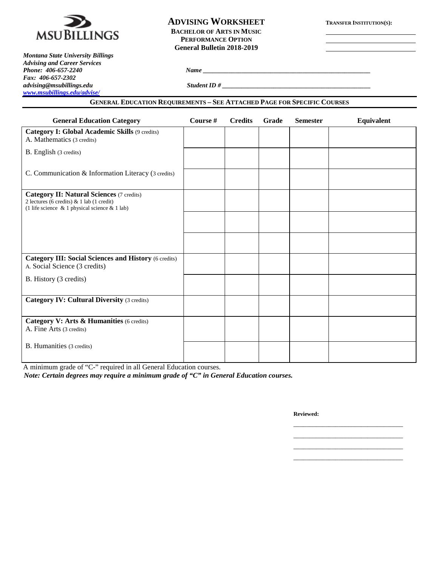

## **ADVISING WORKSHEET TRANSFER INSTITUTION(S): BACHELOR OF ARTS IN MUSIC PERFORMANCE OPTION General Bulletin 2018-2019**

*Montana State University Billings Advising and Career Services Fax: 406-657-2302 advising@msubillings.edu Student ID # \_\_\_\_\_\_\_\_\_\_\_\_\_\_\_\_\_\_\_\_\_\_\_\_\_\_\_\_\_\_\_\_\_\_\_\_\_\_\_\_\_\_\_\_\_\_ [www.msubillings.edu/advise/](http://www.msubillings.edu/advise/)*

### **GENERAL EDUCATION REQUIREMENTS – SEE ATTACHED PAGE FOR SPECIFIC COURSES**

*Phone: 406-657-2240 Name \_\_\_\_\_\_\_\_\_\_\_\_\_\_\_\_\_\_\_\_\_\_\_\_\_\_\_\_\_\_\_\_\_\_\_\_\_\_\_\_\_\_\_\_\_\_\_\_\_\_\_\_*

| <b>General Education Category</b>                                                                                                                    | Course # | <b>Credits</b> | Grade | <b>Semester</b> | <b>Equivalent</b> |
|------------------------------------------------------------------------------------------------------------------------------------------------------|----------|----------------|-------|-----------------|-------------------|
| <b>Category I: Global Academic Skills (9 credits)</b><br>A. Mathematics (3 credits)                                                                  |          |                |       |                 |                   |
| B. English (3 credits)                                                                                                                               |          |                |       |                 |                   |
| C. Communication & Information Literacy (3 credits)                                                                                                  |          |                |       |                 |                   |
| <b>Category II: Natural Sciences (7 credits)</b><br>2 lectures (6 credits) & 1 lab (1 credit)<br>(1 life science $\&$ 1 physical science $\&$ 1 lab) |          |                |       |                 |                   |
|                                                                                                                                                      |          |                |       |                 |                   |
|                                                                                                                                                      |          |                |       |                 |                   |
| <b>Category III: Social Sciences and History (6 credits)</b><br>A. Social Science (3 credits)                                                        |          |                |       |                 |                   |
| B. History (3 credits)                                                                                                                               |          |                |       |                 |                   |
| <b>Category IV: Cultural Diversity (3 credits)</b>                                                                                                   |          |                |       |                 |                   |
| Category V: Arts & Humanities (6 credits)<br>A. Fine Arts (3 credits)                                                                                |          |                |       |                 |                   |
| <b>B.</b> Humanities (3 credits)                                                                                                                     |          |                |       |                 |                   |

A minimum grade of "C-" required in all General Education courses. *Note: Certain degrees may require a minimum grade of "C" in General Education courses.*

**Reviewed:**

\_\_\_\_\_\_\_\_\_\_\_\_\_\_\_\_\_\_\_\_\_\_\_\_\_\_\_\_\_\_\_\_\_\_ \_\_\_\_\_\_\_\_\_\_\_\_\_\_\_\_\_\_\_\_\_\_\_\_\_\_\_\_\_\_\_\_\_\_

\_\_\_\_\_\_\_\_\_\_\_\_\_\_\_\_\_\_\_\_\_\_\_\_\_\_\_\_\_\_\_\_\_\_ \_\_\_\_\_\_\_\_\_\_\_\_\_\_\_\_\_\_\_\_\_\_\_\_\_\_\_\_\_\_\_\_\_\_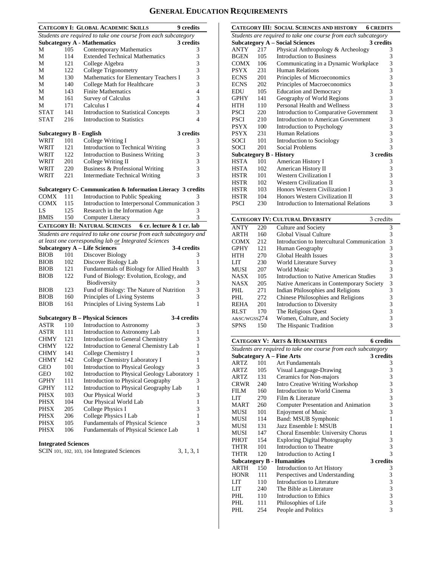# **GENERAL EDUCATION REQUIREMENTS**

|                                |     | <b>CATEGORY I: GLOBAL ACADEMIC SKILLS</b>                          | 9 credits    |
|--------------------------------|-----|--------------------------------------------------------------------|--------------|
|                                |     | Students are required to take one course from each subcategory     |              |
|                                |     | <b>Subcategory A - Mathematics</b>                                 | 3 credits    |
| М                              | 105 | Contemporary Mathematics                                           | 3            |
| М                              | 114 | <b>Extended Technical Mathematics</b>                              | 3            |
| М                              | 121 | College Algebra                                                    | 3            |
| М                              | 122 | College Trigonometry                                               | 3            |
| М                              | 130 | Mathematics for Elementary Teachers I                              | 3            |
| М                              | 140 | College Math for Healthcare                                        | 3            |
| М                              | 143 | <b>Finite Mathematics</b>                                          | 4            |
| М                              | 161 | <b>Survey of Calculus</b>                                          | 3            |
| М                              | 171 | Calculus I                                                         | 4            |
| <b>STAT</b>                    | 141 | <b>Introduction to Statistical Concepts</b>                        | 3            |
| <b>STAT</b>                    | 216 | <b>Introduction to Statistics</b>                                  | 4            |
| <b>Subcategory B - English</b> |     |                                                                    | 3 credits    |
| WRIT                           | 101 | College Writing I                                                  |              |
| WRIT                           | 121 |                                                                    | 3<br>3       |
| WRIT                           | 122 | Introduction to Technical Writing                                  | 3            |
|                                | 201 | Introduction to Business Writing                                   | 3            |
| WRIT<br>WRIT                   | 220 | College Writing II                                                 | 3            |
|                                |     | Business & Professional Writing                                    | 3            |
| WRIT                           | 221 | <b>Intermediate Technical Writing</b>                              |              |
|                                |     | Subcategory C- Communication & Information Literacy 3 credits      |              |
| <b>COMX</b>                    | 111 | Introduction to Public Speaking                                    | 3            |
| <b>COMX</b>                    | 115 | Introduction to Interpersonal Communication 3                      |              |
| LS                             | 125 | Research in the Information Age                                    | 3            |
| <b>BMIS</b>                    | 150 | Computer Literacy                                                  | 3            |
|                                |     | 6 cr. lecture & 1 cr. lab<br><b>CATEGORY II: NATURAL SCIENCES</b>  |              |
|                                |     | Students are required to take one course from each subcategory and |              |
|                                |     | at least one corresponding lab or Integrated Sciences              |              |
|                                |     | <b>Subcategory A - Life Sciences</b>                               | 3-4 credits  |
| <b>BIOB</b>                    | 101 | Discover Biology                                                   | 3            |
| <b>BIOB</b>                    | 102 | Discover Biology Lab                                               | 1            |
| <b>BIOB</b>                    | 121 | Fundamentals of Biology for Allied Health                          | 3            |
| <b>BIOB</b>                    | 122 | Fund of Biology: Evolution, Ecology, and                           |              |
|                                | 123 | Biodiversity                                                       | 3<br>3       |
| <b>BIOB</b>                    | 160 | Fund of Biology: The Nature of Nutrition                           | 3            |
| <b>BIOB</b><br><b>BIOB</b>     | 161 | Principles of Living Systems                                       | 1            |
|                                |     | Principles of Living Systems Lab                                   |              |
|                                |     | <b>Subcategory B - Physical Sciences</b>                           | 3-4 credits  |
| <b>ASTR</b>                    | 110 | Introduction to Astronomy                                          | 3            |
| ASTR                           | 111 | Introduction to Astronomy Lab                                      | 1            |
| CHMY                           | 121 | <b>Introduction to General Chemistry</b>                           | 3            |
| <b>CHMY</b>                    | 122 | Introduction to General Chemistry Lab                              | 1            |
| <b>CHMY</b>                    | 141 | College Chemistry I                                                | 3            |
| <b>CHMY</b>                    | 142 | College Chemistry Laboratory I                                     | 1            |
| GEO                            | 101 | Introduction to Physical Geology                                   | 3            |
| GEO                            | 102 | Introduction to Physical Geology Laboratory                        | 1            |
| GPHY                           | 111 | Introduction to Physical Geography                                 | 3            |
| GPHY                           | 112 | Introduction to Physical Geography Lab                             | $\mathbf{1}$ |
| PHSX                           | 103 | Our Physical World                                                 | 3            |
| PHSX                           | 104 | Our Physical World Lab                                             | $\mathbf{1}$ |
| PHSX                           | 205 | College Physics I                                                  | 3            |
| <b>PHSX</b>                    | 206 | College Physics I Lab                                              | 1            |
| <b>PHSX</b>                    | 105 | Fundamentals of Physical Science                                   | 3            |
| PHSX                           | 106 | Fundamentals of Physical Science Lab                               | 1            |
|                                |     |                                                                    |              |
| <b>Integrated Sciences</b>     |     | SCIN 101, 102, 103, 104 Integrated Sciences                        | 3, 1, 3, 1   |
|                                |     |                                                                    |              |

|             |                                                                | CATEGORY III: SOCIAL SCIENCES AND HISTORY | <b>6 CREDITS</b>                           |  |  |  |
|-------------|----------------------------------------------------------------|-------------------------------------------|--------------------------------------------|--|--|--|
|             | Students are required to take one course from each subcategory |                                           |                                            |  |  |  |
|             |                                                                | <b>Subcategory A - Social Sciences</b>    | 3 credits                                  |  |  |  |
| <b>ANTY</b> | 217                                                            | Physical Anthropology & Archeology        | 3                                          |  |  |  |
| <b>BGEN</b> | 105                                                            | <b>Introduction to Business</b>           | 3                                          |  |  |  |
| <b>COMX</b> | 106                                                            | Communicating in a Dynamic Workplace      | $\begin{array}{c} 3 \\ 3 \\ 3 \end{array}$ |  |  |  |
| <b>PSYX</b> | 231                                                            | <b>Human Relations</b>                    |                                            |  |  |  |
| <b>ECNS</b> | 201                                                            | Principles of Microeconomics              |                                            |  |  |  |
| <b>ECNS</b> | 202                                                            | Principles of Macroeconomics              | 3                                          |  |  |  |
| <b>EDU</b>  | 105                                                            | <b>Education and Democracy</b>            |                                            |  |  |  |
| <b>GPHY</b> | 141                                                            | Geography of World Regions                |                                            |  |  |  |
| <b>HTH</b>  | 110                                                            | Personal Health and Wellness              | 33333333333                                |  |  |  |
| <b>PSCI</b> | 220                                                            | Introduction to Comparative Government    |                                            |  |  |  |
| <b>PSCI</b> | 210                                                            | Introduction to American Government       |                                            |  |  |  |
| <b>PSYX</b> | 100                                                            | Introduction to Psychology                |                                            |  |  |  |
| <b>PSYX</b> | 231                                                            | <b>Human Relations</b>                    |                                            |  |  |  |
| SOCI        | 101                                                            | Introduction to Sociology                 |                                            |  |  |  |
| <b>SOCI</b> | 201                                                            | Social Problems                           | $\overline{3}$                             |  |  |  |
|             |                                                                | <b>Subcategory B - History</b>            | 3 credits                                  |  |  |  |
| <b>HSTA</b> | 101                                                            | American History I                        | 3                                          |  |  |  |
| HSTA        | 102                                                            | American History II                       | 3                                          |  |  |  |
| <b>HSTR</b> | 101                                                            | <b>Western Civilization I</b>             | 3                                          |  |  |  |
| <b>HSTR</b> | 102                                                            | <b>Western Civilization II</b>            |                                            |  |  |  |
| <b>HSTR</b> | 103                                                            | Honors Western Civilization I             | $\begin{array}{c} 3 \\ 3 \\ 3 \end{array}$ |  |  |  |
| <b>HSTR</b> | 104                                                            | Honors Western Civilization II            |                                            |  |  |  |
| <b>PSCI</b> | 230                                                            | Introduction to International Relations   |                                            |  |  |  |
|             |                                                                | <b>CATEGORY IV: CULTURAL DIVERSITY</b>    | 3 credits                                  |  |  |  |

|              |     | CATEGORY IV: CULTURAL DIVERSITY<br>3 credits |   |
|--------------|-----|----------------------------------------------|---|
| ANTY         | 220 | Culture and Society                          | 3 |
| ARTH         | 160 | Global Visual Culture                        | 3 |
| COMX         | 212 | Introduction to Intercultural Communication  | 3 |
| GPHY         | 121 | Human Geography                              | 3 |
| HTH          | 270 | Global Health Issues                         | 3 |
| LIT          | 230 | World Literature Survey                      | 3 |
| MUSI         | 207 | World Music                                  | 3 |
| NASX         | 105 | Introduction to Native American Studies      | 3 |
| NASX         | 205 | Native Americans in Contemporary Society     | 3 |
| PHI.         | 271 | Indian Philosophies and Religions            | 3 |
| PHL.         | 272 | Chinese Philosophies and Religions           | 3 |
| REHA         | 201 | Introduction to Diversity                    | 3 |
| RLST         | 170 | The Religious Quest                          | 3 |
| A&SC/WGSS274 |     | Women, Culture, and Society                  | 3 |
| SPNS         | 150 | The Hispanic Tradition                       | 3 |
|              |     |                                              |   |

|                                                                |     | <b>CATEGORY V: ARTS &amp; HUMANITIES</b> | <b>6</b> credits |  |  |  |
|----------------------------------------------------------------|-----|------------------------------------------|------------------|--|--|--|
| Students are required to take one course from each subcategory |     |                                          |                  |  |  |  |
|                                                                |     | <b>Subcategory A – Fine Arts</b>         | 3 credits        |  |  |  |
| ARTZ                                                           | 101 | Art Fundamentals                         | 3                |  |  |  |
| ARTZ                                                           | 105 | Visual Language-Drawing                  | 3                |  |  |  |
| ARTZ                                                           | 131 | Ceramics for Non-majors                  | 3                |  |  |  |
| <b>CRWR</b>                                                    | 240 | Intro Creative Writing Workshop          | 3                |  |  |  |
| <b>FILM</b>                                                    | 160 | Introduction to World Cinema             | 3                |  |  |  |
| LIT                                                            | 270 | Film & Literature                        | 3                |  |  |  |
| MART                                                           | 260 | Computer Presentation and Animation      | 3                |  |  |  |
| MUSI                                                           | 101 | <b>Enjoyment of Music</b>                | 3                |  |  |  |
| MUSI                                                           | 114 | Band: MSUB Symphonic                     | 1                |  |  |  |
| MUSI                                                           | 131 | Jazz Ensemble I: MSUB                    | 1                |  |  |  |
| MUSI                                                           | 147 | Choral Ensemble: University Chorus       | 1                |  |  |  |
| PHOT                                                           | 154 | <b>Exploring Digital Photography</b>     | 3                |  |  |  |
| THTR                                                           | 101 | Introduction to Theatre                  | 3                |  |  |  |
| THTR                                                           | 120 | Introduction to Acting I                 | 3                |  |  |  |
|                                                                |     | <b>Subcategory B - Humanities</b>        | 3 credits        |  |  |  |
| ARTH                                                           | 150 | Introduction to Art History              | 3                |  |  |  |
| <b>HONR</b>                                                    | 111 | Perspectives and Understanding           | 3                |  |  |  |
| LIT                                                            | 110 | Introduction to Literature               | 3                |  |  |  |
| LIT                                                            | 240 | The Bible as Literature                  | 3                |  |  |  |
| PHL.                                                           | 110 | Introduction to Ethics                   | 3                |  |  |  |
| PHL                                                            | 111 | Philosophies of Life                     | 3                |  |  |  |
| PHI.                                                           | 254 | People and Politics                      | 3                |  |  |  |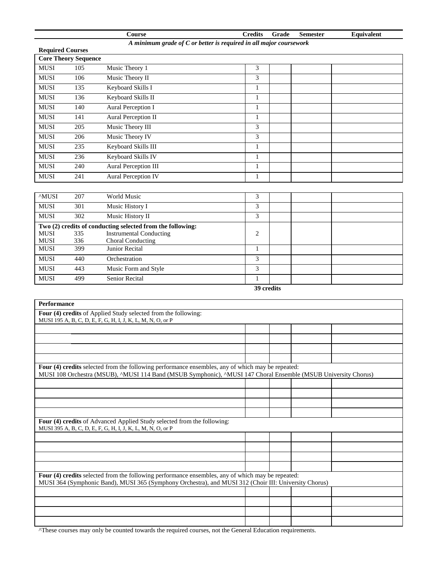|                                                                      |                             | <b>Course</b>                                              | <b>Credits</b> | Grade      | <b>Semester</b> | Equivalent |
|----------------------------------------------------------------------|-----------------------------|------------------------------------------------------------|----------------|------------|-----------------|------------|
| A minimum grade of $C$ or better is required in all major coursework |                             |                                                            |                |            |                 |            |
| <b>Required Courses</b>                                              |                             |                                                            |                |            |                 |            |
|                                                                      | <b>Core Theory Sequence</b> |                                                            |                |            |                 |            |
| <b>MUSI</b>                                                          | 105                         | Music Theory 1                                             | 3              |            |                 |            |
| <b>MUSI</b>                                                          | 106                         | Music Theory II                                            | 3              |            |                 |            |
| <b>MUSI</b>                                                          | 135                         | Keyboard Skills I                                          | 1              |            |                 |            |
| <b>MUSI</b>                                                          | 136                         | Keyboard Skills II                                         | $\mathbf{1}$   |            |                 |            |
| <b>MUSI</b>                                                          | 140                         | Aural Perception I                                         | $\mathbf{1}$   |            |                 |            |
| <b>MUSI</b>                                                          | 141                         | Aural Perception II                                        | $\mathbf{1}$   |            |                 |            |
| <b>MUSI</b>                                                          | 205                         | Music Theory III                                           | 3              |            |                 |            |
| <b>MUSI</b>                                                          | 206                         | Music Theory IV                                            | 3              |            |                 |            |
| <b>MUSI</b>                                                          | 235                         | Keyboard Skills III                                        | 1              |            |                 |            |
| <b>MUSI</b>                                                          | 236                         | Keyboard Skills IV                                         | $\mathbf{1}$   |            |                 |            |
| <b>MUSI</b>                                                          | 240                         | <b>Aural Perception III</b>                                | $\mathbf{1}$   |            |                 |            |
| <b>MUSI</b>                                                          | 241                         | <b>Aural Perception IV</b>                                 | $\mathbf{1}$   |            |                 |            |
|                                                                      |                             |                                                            |                |            |                 |            |
| <b>MUSI</b>                                                          | 207                         | <b>World Music</b>                                         | 3              |            |                 |            |
| <b>MUSI</b>                                                          | 301                         | Music History I                                            | 3              |            |                 |            |
| <b>MUSI</b>                                                          | 302                         | Music History II                                           | $\overline{3}$ |            |                 |            |
|                                                                      |                             | Two (2) credits of conducting selected from the following: |                |            |                 |            |
| <b>MUSI</b>                                                          | 335                         | <b>Instrumental Conducting</b>                             | 2              |            |                 |            |
| <b>MUSI</b>                                                          | 336                         | <b>Choral Conducting</b>                                   |                |            |                 |            |
| <b>MUSI</b>                                                          | 399                         | <b>Junior Recital</b>                                      | $\mathbf{1}$   |            |                 |            |
| <b>MUSI</b>                                                          | 440                         | Orchestration                                              | 3              |            |                 |            |
| <b>MUSI</b>                                                          | 443                         | Music Form and Style                                       | 3              |            |                 |            |
| <b>MUSI</b>                                                          | 499                         | <b>Senior Recital</b>                                      | $\mathbf{1}$   |            |                 |            |
|                                                                      |                             |                                                            |                | 39 credits |                 |            |

| <b>Performance</b>                                                                                             |  |  |
|----------------------------------------------------------------------------------------------------------------|--|--|
| Four (4) credits of Applied Study selected from the following:                                                 |  |  |
| MUSI 195 A, B, C, D, E, F, G, H, I, J, K, L, M, N, O, or P                                                     |  |  |
|                                                                                                                |  |  |
|                                                                                                                |  |  |
|                                                                                                                |  |  |
|                                                                                                                |  |  |
| Four (4) credits selected from the following performance ensembles, any of which may be repeated:              |  |  |
| MUSI 108 Orchestra (MSUB), ^MUSI 114 Band (MSUB Symphonic), ^MUSI 147 Choral Ensemble (MSUB University Chorus) |  |  |
|                                                                                                                |  |  |
|                                                                                                                |  |  |
|                                                                                                                |  |  |
|                                                                                                                |  |  |
| Four (4) credits of Advanced Applied Study selected from the following:                                        |  |  |
| MUSI 395 A, B, C, D, E, F, G, H, I, J, K, L, M, N, O, or P                                                     |  |  |
|                                                                                                                |  |  |
|                                                                                                                |  |  |
|                                                                                                                |  |  |
|                                                                                                                |  |  |
| Four (4) credits selected from the following performance ensembles, any of which may be repeated:              |  |  |
| MUSI 364 (Symphonic Band), MUSI 365 (Symphony Orchestra), and MUSI 312 (Choir III: University Chorus)          |  |  |
|                                                                                                                |  |  |
|                                                                                                                |  |  |
|                                                                                                                |  |  |
|                                                                                                                |  |  |

^These courses may only be counted towards the required courses, not the General Education requirements.